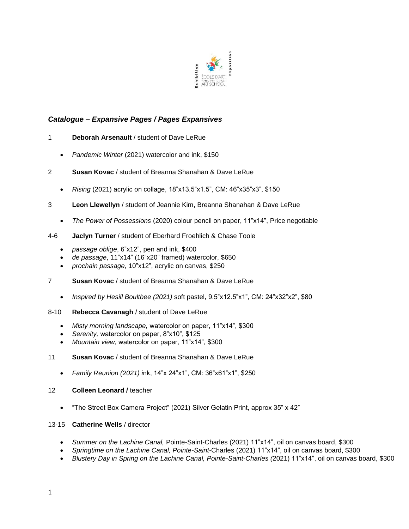

# *Catalogue – Expansive Pages / Pages Expansives*

- 1 **Deborah Arsenault** / student of Dave LeRue
	- *Pandemic Winter* (2021) watercolor and ink, \$150
- 2 **Susan Kovac** / student of Breanna Shanahan & Dave LeRue
	- *Rising* (2021) acrylic on collage, 18"x13.5"x1.5", CM: 46"x35"x3", \$150
- 3 **Leon Llewellyn** / student of Jeannie Kim, Breanna Shanahan & Dave LeRue
	- *The Power of Possessions* (2020) colour pencil on paper, 11"x14", Price negotiable
- 4-6 **Jaclyn Turner** / student of Eberhard Froehlich & Chase Toole
	- *passage oblige*, 6"x12", pen and ink, \$400
	- *de passage*, 11"x14" (16"x20" framed) watercolor, \$650
	- *prochain passage*, 10"x12", acrylic on canvas, \$250
- 7 **Susan Kovac** / student of Breanna Shanahan & Dave LeRue
	- *Inspired by Hesill Boultbee (2021)* soft pastel, 9.5"x12.5"x1", CM: 24"x32"x2", \$80
- 8-10 **Rebecca Cavanagh** / student of Dave LeRue
	- *Misty morning landscape,* watercolor on paper, 11"x14", \$300
	- *Serenity,* watercolor on paper, 8"x10", \$125
	- *Mountain view*, watercolor on paper, 11"x14", \$300

#### 11 **Susan Kovac** / student of Breanna Shanahan & Dave LeRue

• *Family Reunion (2021) i*nk, 14"x 24"x1", CM: 36"x61"x1", \$250

#### 12 **Colleen Leonard /** teacher

• "The Street Box Camera Project" (2021) Silver Gelatin Print, approx 35" x 42"

#### 13-15 **Catherine Wells** / director

- *Summer on the Lachine Canal,* Pointe-Saint-Charles (2021) 11"x14", oil on canvas board, \$300
- *Springtime on the Lachine Canal, Pointe-Saint-*Charles (2021) 11"x14", oil on canvas board, \$300
- *Blustery Day in Spring on the Lachine Canal, Pointe-Saint-Charles (*2021) 11"x14", oil on canvas board, \$300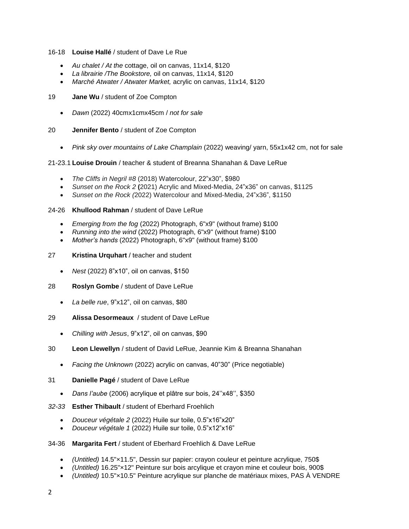#### 16-18 **Louise Hallé** / student of Dave Le Rue

- *Au chalet / At the* cottage, oil on canvas, 11x14, \$120
- *La librairie /The Bookstore,* oil on canvas, 11x14, \$120
- *Marché Atwater / Atwater Market,* acrylic on canvas, 11x14, \$120

#### 19 **Jane Wu** / student of Zoe Compton

- *Dawn* (2022) 40cmx1cmx45cm / *not for sale*
- 20 **Jennifer Bento** / student of Zoe Compton
	- *Pink sky over mountains of Lake Champlain* (2022) weaving/ yarn, 55x1x42 cm, not for sale

# 21-23.1 **Louise Drouin** / teacher & student of Breanna Shanahan & Dave LeRue

- *The Cliffs in Negril #8* (2018) Watercolour, 22"x30", \$980
- *Sunset on the Rock 2* **(**2021) Acrylic and Mixed-Media, 24"x36" on canvas, \$1125
- *Sunset on the Rock (*2022) Watercolour and Mixed-Media, 24"x36", \$1150

# 24-26 **Khullood Rahman** / student of Dave LeRue

- *Emerging from the fog* (2022) Photograph, 6"x9" (without frame) \$100
- *Running into the wind* (2022) Photograph, 6"x9" (without frame) \$100
- *Mother's hands* (2022) Photograph, 6"x9" (without frame) \$100

# 27 **Kristina Urquhart** / teacher and student

- *Nest* (2022) 8"x10", oil on canvas, \$150
- 28 **Roslyn Gombe** / student of Dave LeRue
	- *La belle rue*, 9"x12", oil on canvas, \$80
- 29 **Alissa Desormeaux** / student of Dave LeRue
	- *Chilling with Jesus*, 9"x12", oil on canvas, \$90
- 30 **Leon Llewellyn** / student of David LeRue, Jeannie Kim & Breanna Shanahan
	- *Facing the Unknown* (2022) acrylic on canvas, 40"30" (Price negotiable)
- 31 **Danielle Pagé** / student of Dave LeRue
	- *Dans l'aube* (2006) acrylique et plâtre sur bois, 24''x48'', \$350
- *32-33* **Esther Thibault** / student of Eberhard Froehlich
	- *Douceur végétale 2* (2022) Huile sur toile, 0.5"x16"x20"
	- *Douceur végétale 1* (2022) Huile sur toile, 0.5"x12"x16"
- 34-36 **Margarita Fert** / student of Eberhard Froehlich & Dave LeRue
	- *(Untitled)* 14.5"×11.5", Dessin sur papier: crayon couleur et peinture acrylique, 750\$
	- *(Untitled)* 16.25"×12" Peinture sur bois arcylique et crayon mine et couleur bois, 900\$
	- *(Untitled)* 10.5"×10.5" Peinture acrylique sur planche de matériaux mixes, PAS À VENDRE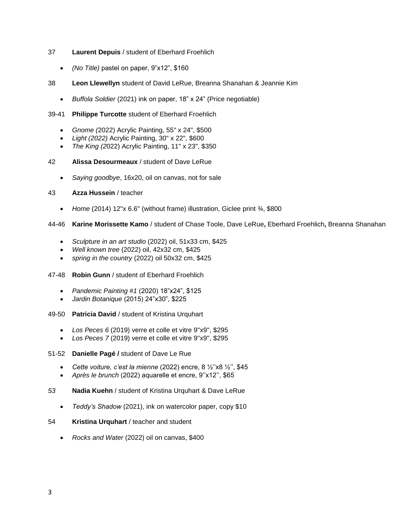# 37 **Laurent Depuis** / student of Eberhard Froehlich

- *(No Title)* pastel on paper, 9"x12", \$160
- 38 **Leon Llewellyn** student of David LeRue, Breanna Shanahan & Jeannie Kim
	- *Buffola Soldier* (2021) ink on paper, 18" x 24" (Price negotiable)

#### 39-41 **Philippe Turcotte** student of Eberhard Froehlich

- *Gnome (*2022) Acrylic Painting, 55" x 24", \$500
- *Light (2022)* Acrylic Painting, 30" x 22", \$600
- *The King (2*022) Acrylic Painting, 11" x 23", \$350
- 42 **Alissa Desourmeaux** / student of Dave LeRue
	- *Saying goodbye*, 16x20, oil on canvas, not for sale
- 43 **Azza Hussein** / teacher
	- *Home* (2014) 12''x 6.6'' (without frame) illustration, Giclee print ¾, \$800

44-46 **Karine Morissette Kamo** / student of Chase Toole, Dave LeRue**,** Eberhard Froehlich**,** Breanna Shanahan

- *Sculpture in an art studio* (2022) oil, 51x33 cm, \$425
- *Well known tree* (2022) oil, 42x32 cm, \$425
- *spring in the country* (2022) oil 50x32 cm, \$425
- 47-48 **Robin Gunn** / student of Eberhard Froehlich
	- *Pandemic Painting #1* (2020) 18"x24", \$125
	- *Jardin Botanique* (2015) 24"x30", \$225
- 49-50 **Patricia David** / student of Kristina Urquhart
	- Los Peces 6 (2019) verre et colle et vitre 9"x9", \$295
	- *Los Peces 7* (2019) verre et colle et vitre 9''x9'', \$295

#### 51-52 **Danielle Pagé /** student of Dave Le Rue

- *Cette voiture, c'est la mienne* (2022) encre, 8 ½''x8 ½'', \$45
- *Après le brunch* (2022) aquarelle et encre, 9''x12'', \$65
- *53* **Nadia Kuehn** / student of Kristina Urquhart & Dave LeRue
	- *Teddy's Shadow* (2021), ink on watercolor paper, copy \$10
- 54 **Kristina Urquhart** / teacher and student
	- *Rocks and Water* (2022) oil on canvas, \$400